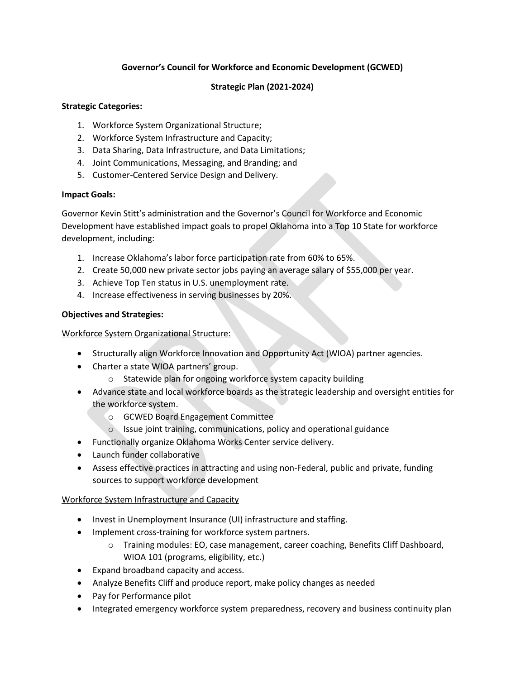# **Governor's Council for Workforce and Economic Development (GCWED)**

## **Strategic Plan (2021-2024)**

#### **Strategic Categories:**

- 1. Workforce System Organizational Structure;
- 2. Workforce System Infrastructure and Capacity;
- 3. Data Sharing, Data Infrastructure, and Data Limitations;
- 4. Joint Communications, Messaging, and Branding; and
- 5. Customer-Centered Service Design and Delivery.

### **Impact Goals:**

Governor Kevin Stitt's administration and the Governor's Council for Workforce and Economic Development have established impact goals to propel Oklahoma into a Top 10 State for workforce development, including:

- 1. Increase Oklahoma's labor force participation rate from 60% to 65%.
- 2. Create 50,000 new private sector jobs paying an average salary of \$55,000 per year.
- 3. Achieve Top Ten status in U.S. unemployment rate.
- 4. Increase effectiveness in serving businesses by 20%.

### **Objectives and Strategies:**

### Workforce System Organizational Structure:

- Structurally align Workforce Innovation and Opportunity Act (WIOA) partner agencies.
- Charter a state WIOA partners' group.
	- o Statewide plan for ongoing workforce system capacity building
- Advance state and local workforce boards as the strategic leadership and oversight entities for the workforce system.
	- o GCWED Board Engagement Committee
	- o Issue joint training, communications, policy and operational guidance
- Functionally organize Oklahoma Works Center service delivery.
- Launch funder collaborative
- Assess effective practices in attracting and using non-Federal, public and private, funding sources to support workforce development

# Workforce System Infrastructure and Capacity

- Invest in Unemployment Insurance (UI) infrastructure and staffing.
- Implement cross-training for workforce system partners.
	- o Training modules: EO, case management, career coaching, Benefits Cliff Dashboard, WIOA 101 (programs, eligibility, etc.)
- Expand broadband capacity and access.
- Analyze Benefits Cliff and produce report, make policy changes as needed
- Pay for Performance pilot
- Integrated emergency workforce system preparedness, recovery and business continuity plan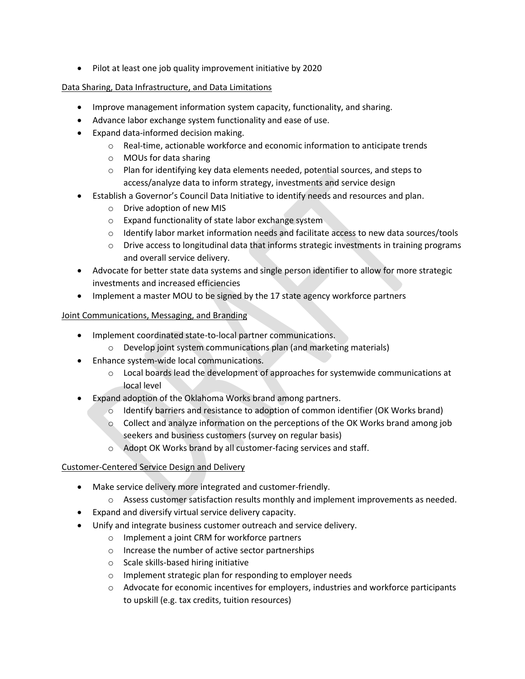Pilot at least one job quality improvement initiative by 2020

## Data Sharing, Data Infrastructure, and Data Limitations

- Improve management information system capacity, functionality, and sharing.
- Advance labor exchange system functionality and ease of use.
- Expand data-informed decision making.
	- o Real-time, actionable workforce and economic information to anticipate trends
	- o MOUs for data sharing
	- $\circ$  Plan for identifying key data elements needed, potential sources, and steps to access/analyze data to inform strategy, investments and service design
	- Establish a Governor's Council Data Initiative to identify needs and resources and plan.
		- o Drive adoption of new MIS
		- o Expand functionality of state labor exchange system
		- $\circ$  Identify labor market information needs and facilitate access to new data sources/tools
		- $\circ$  Drive access to longitudinal data that informs strategic investments in training programs and overall service delivery.
- Advocate for better state data systems and single person identifier to allow for more strategic investments and increased efficiencies
- Implement a master MOU to be signed by the 17 state agency workforce partners

#### Joint Communications, Messaging, and Branding

- Implement coordinated state-to-local partner communications.
	- o Develop joint system communications plan (and marketing materials)
- Enhance system-wide local communications.
	- $\circ$  Local boards lead the development of approaches for systemwide communications at local level
- Expand adoption of the Oklahoma Works brand among partners.
	- $\circ$  Identify barriers and resistance to adoption of common identifier (OK Works brand)
	- o Collect and analyze information on the perceptions of the OK Works brand among job seekers and business customers (survey on regular basis)
	- o Adopt OK Works brand by all customer-facing services and staff.

#### Customer-Centered Service Design and Delivery

- Make service delivery more integrated and customer-friendly.
	- o Assess customer satisfaction results monthly and implement improvements as needed.
- Expand and diversify virtual service delivery capacity.
- Unify and integrate business customer outreach and service delivery.
	- o Implement a joint CRM for workforce partners
	- o Increase the number of active sector partnerships
	- o Scale skills-based hiring initiative
	- o Implement strategic plan for responding to employer needs
	- $\circ$  Advocate for economic incentives for employers, industries and workforce participants to upskill (e.g. tax credits, tuition resources)